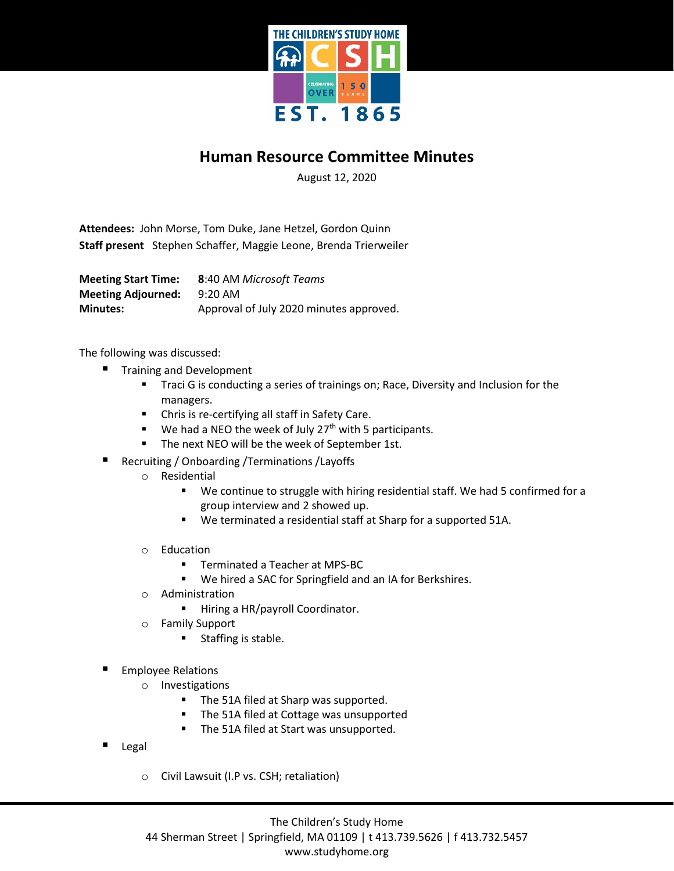

## **Human Resource Committee Minutes**

August 12, 2020

**Attendees:** John Morse, Tom Duke, Jane Hetzel, Gordon Quinn **Staff present** Stephen Schaffer, Maggie Leone, Brenda Trierweiler

**Meeting Start Time: 8**:40 AM *Microsoft Teams* **Meeting Adjourned:** 9:20 AM **Minutes:** Approval of July 2020 minutes approved.

The following was discussed:

- Training and Development
	- **Traci G is conducting a series of trainings on; Race, Diversity and Inclusion for the** managers.
	- Chris is re-certifying all staff in Safety Care.
	- $\blacksquare$  We had a NEO the week of July 27<sup>th</sup> with 5 participants.
	- **The next NEO will be the week of September 1st.**
- Recruiting / Onboarding / Terminations / Layoffs
	- o Residential
		- We continue to struggle with hiring residential staff. We had 5 confirmed for a group interview and 2 showed up.
		- We terminated a residential staff at Sharp for a supported 51A.
	- o Education
		- Terminated a Teacher at MPS-BC
		- We hired a SAC for Springfield and an IA for Berkshires.
	- o Administration
		- Hiring a HR/payroll Coordinator.
	- o Family Support
		- **Staffing is stable.**
- Employee Relations
	- o Investigations
		- The 51A filed at Sharp was supported.
		- **The 51A filed at Cottage was unsupported**
		- The 51A filed at Start was unsupported.
- Legal
	- o Civil Lawsuit (I.P vs. CSH; retaliation)